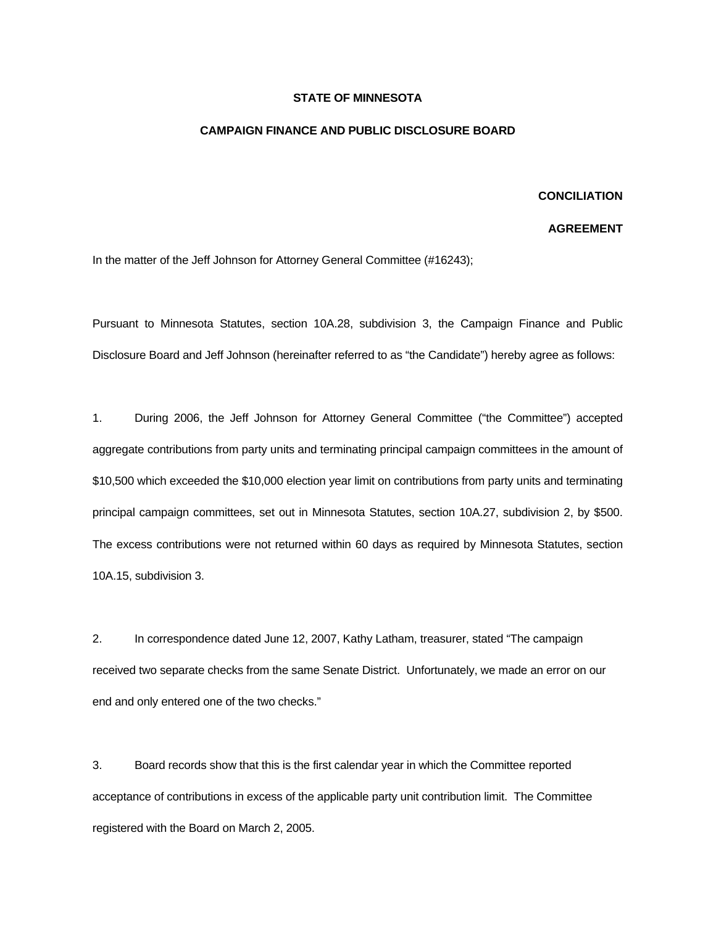## **STATE OF MINNESOTA**

## **CAMPAIGN FINANCE AND PUBLIC DISCLOSURE BOARD**

## **CONCILIATION**

## **AGREEMENT**

In the matter of the Jeff Johnson for Attorney General Committee (#16243);

Pursuant to Minnesota Statutes, section 10A.28, subdivision 3, the Campaign Finance and Public Disclosure Board and Jeff Johnson (hereinafter referred to as "the Candidate") hereby agree as follows:

1. During 2006, the Jeff Johnson for Attorney General Committee ("the Committee") accepted aggregate contributions from party units and terminating principal campaign committees in the amount of \$10,500 which exceeded the \$10,000 election year limit on contributions from party units and terminating principal campaign committees, set out in Minnesota Statutes, section 10A.27, subdivision 2, by \$500. The excess contributions were not returned within 60 days as required by Minnesota Statutes, section 10A.15, subdivision 3.

2. In correspondence dated June 12, 2007, Kathy Latham, treasurer, stated "The campaign received two separate checks from the same Senate District. Unfortunately, we made an error on our end and only entered one of the two checks."

3. Board records show that this is the first calendar year in which the Committee reported acceptance of contributions in excess of the applicable party unit contribution limit. The Committee registered with the Board on March 2, 2005.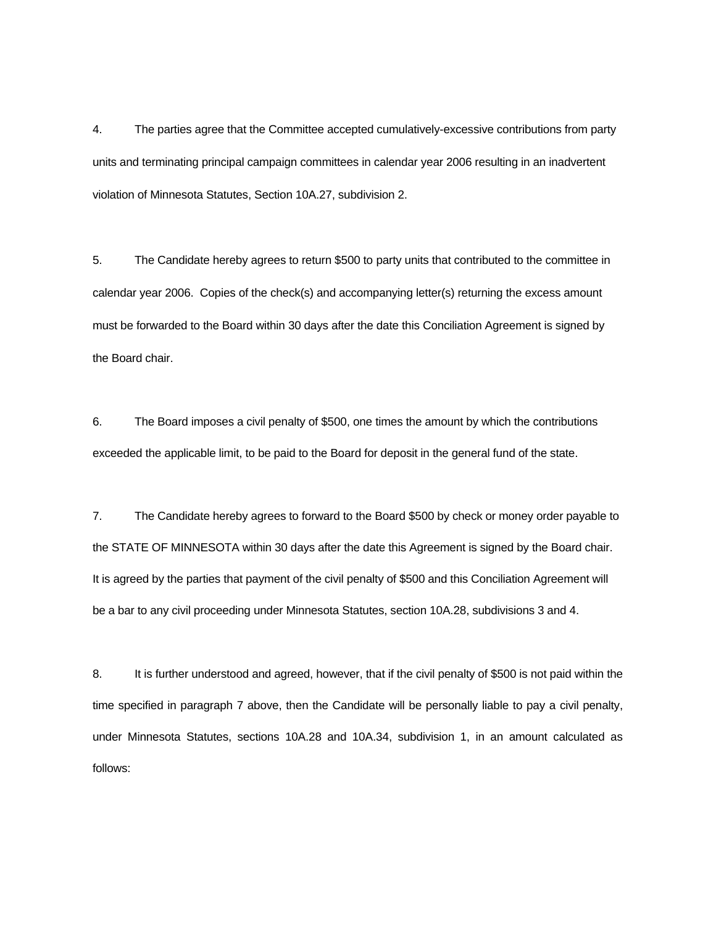4. The parties agree that the Committee accepted cumulatively-excessive contributions from party units and terminating principal campaign committees in calendar year 2006 resulting in an inadvertent violation of Minnesota Statutes, Section 10A.27, subdivision 2.

5. The Candidate hereby agrees to return \$500 to party units that contributed to the committee in calendar year 2006. Copies of the check(s) and accompanying letter(s) returning the excess amount must be forwarded to the Board within 30 days after the date this Conciliation Agreement is signed by the Board chair.

6. The Board imposes a civil penalty of \$500, one times the amount by which the contributions exceeded the applicable limit, to be paid to the Board for deposit in the general fund of the state.

7. The Candidate hereby agrees to forward to the Board \$500 by check or money order payable to the STATE OF MINNESOTA within 30 days after the date this Agreement is signed by the Board chair. It is agreed by the parties that payment of the civil penalty of \$500 and this Conciliation Agreement will be a bar to any civil proceeding under Minnesota Statutes, section 10A.28, subdivisions 3 and 4.

8. It is further understood and agreed, however, that if the civil penalty of \$500 is not paid within the time specified in paragraph 7 above, then the Candidate will be personally liable to pay a civil penalty, under Minnesota Statutes, sections 10A.28 and 10A.34, subdivision 1, in an amount calculated as follows: